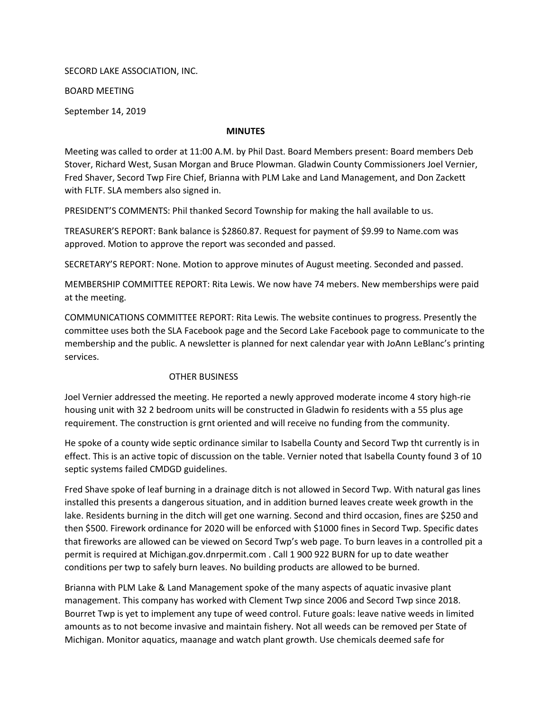SECORD LAKE ASSOCIATION, INC.

BOARD MEETING

September 14, 2019

## MINUTES

Meeting was called to order at 11:00 A.M. by Phil Dast. Board Members present: Board members Deb Stover, Richard West, Susan Morgan and Bruce Plowman. Gladwin County Commissioners Joel Vernier, Fred Shaver, Secord Twp Fire Chief, Brianna with PLM Lake and Land Management, and Don Zackett with FLTF. SLA members also signed in.

PRESIDENT'S COMMENTS: Phil thanked Secord Township for making the hall available to us.

TREASURER'S REPORT: Bank balance is \$2860.87. Request for payment of \$9.99 to Name.com was approved. Motion to approve the report was seconded and passed.

SECRETARY'S REPORT: None. Motion to approve minutes of August meeting. Seconded and passed.

MEMBERSHIP COMMITTEE REPORT: Rita Lewis. We now have 74 mebers. New memberships were paid at the meeting.

COMMUNICATIONS COMMITTEE REPORT: Rita Lewis. The website continues to progress. Presently the committee uses both the SLA Facebook page and the Secord Lake Facebook page to communicate to the membership and the public. A newsletter is planned for next calendar year with JoAnn LeBlanc's printing services.

## OTHER BUSINESS

Joel Vernier addressed the meeting. He reported a newly approved moderate income 4 story high-rie housing unit with 32 2 bedroom units will be constructed in Gladwin fo residents with a 55 plus age requirement. The construction is grnt oriented and will receive no funding from the community.

He spoke of a county wide septic ordinance similar to Isabella County and Secord Twp tht currently is in effect. This is an active topic of discussion on the table. Vernier noted that Isabella County found 3 of 10 septic systems failed CMDGD guidelines.

Fred Shave spoke of leaf burning in a drainage ditch is not allowed in Secord Twp. With natural gas lines installed this presents a dangerous situation, and in addition burned leaves create week growth in the lake. Residents burning in the ditch will get one warning. Second and third occasion, fines are \$250 and then \$500. Firework ordinance for 2020 will be enforced with \$1000 fines in Secord Twp. Specific dates that fireworks are allowed can be viewed on Secord Twp's web page. To burn leaves in a controlled pit a permit is required at Michigan.gov.dnrpermit.com . Call 1 900 922 BURN for up to date weather conditions per twp to safely burn leaves. No building products are allowed to be burned.

Brianna with PLM Lake & Land Management spoke of the many aspects of aquatic invasive plant management. This company has worked with Clement Twp since 2006 and Secord Twp since 2018. Bourret Twp is yet to implement any tupe of weed control. Future goals: leave native weeds in limited amounts as to not become invasive and maintain fishery. Not all weeds can be removed per State of Michigan. Monitor aquatics, maanage and watch plant growth. Use chemicals deemed safe for